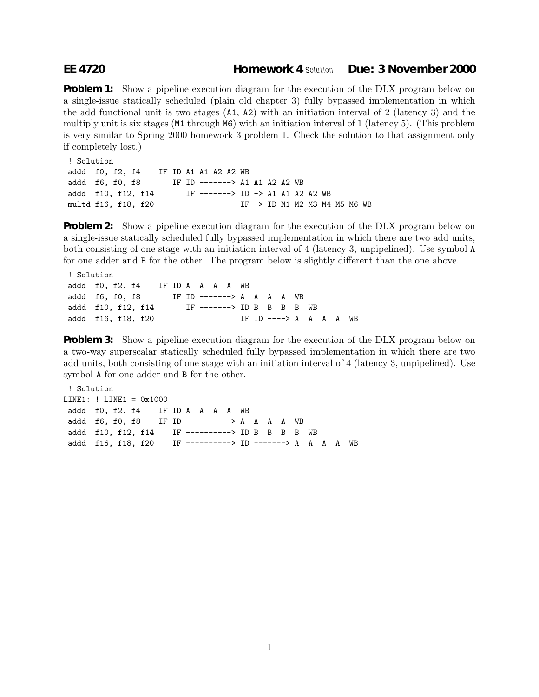## **EE 4720 Homework 4** *Solution* **Due: 3 November 2000**

**Problem 1:** Show a pipeline execution diagram for the execution of the DLX program below on a single-issue statically scheduled (plain old chapter 3) fully bypassed implementation in which the add functional unit is two stages (A1, A2) with an initiation interval of 2 (latency 3) and the multiply unit is six stages (M1 through M6) with an initiation interval of 1 (latency 5). (This problem is very similar to Spring 2000 homework 3 problem 1. Check the solution to that assignment only if completely lost.)

```
! Solution
addd f0, f2, f4 IF ID A1 A1 A2 A2 WB
addd f6, f0, f8 IF ID -------> A1 A1 A2 A2 WB
addd f10, f12, f14 IF -------> ID -> A1 A1 A2 A2 WB
multd f16, f18, f20 IF -> ID M1 M2 M3 M4 M5 M6 WB
```
**Problem 2:** Show a pipeline execution diagram for the execution of the DLX program below on a single-issue statically scheduled fully bypassed implementation in which there are two add units, both consisting of one stage with an initiation interval of 4 (latency 3, unpipelined). Use symbol A for one adder and B for the other. The program below is slightly different than the one above.

```
! Solution
addd f0, f2, f4 IF ID A A A A WB
addd f6, f0, f8 IF ID -------> A A A A WB
addd f10, f12, f14 IF -------> ID B B B B WB
addd f16, f18, f20 IF ID ----> A A A A WB
```
**Problem 3:** Show a pipeline execution diagram for the execution of the DLX program below on a two-way superscalar statically scheduled fully bypassed implementation in which there are two add units, both consisting of one stage with an initiation interval of 4 (latency 3, unpipelined). Use symbol A for one adder and B for the other.

```
! Solution
LINE1: ! LINE1 = 0x1000
addd f0, f2, f4 IF ID A A A A WB
addd f6, f0, f8 IF ID ----------> A A A A WB
addd f10, f12, f14 IF ----------> ID B B B B WB
addd f16, f18, f20 IF ----------> ID -------> A A A A WB
```